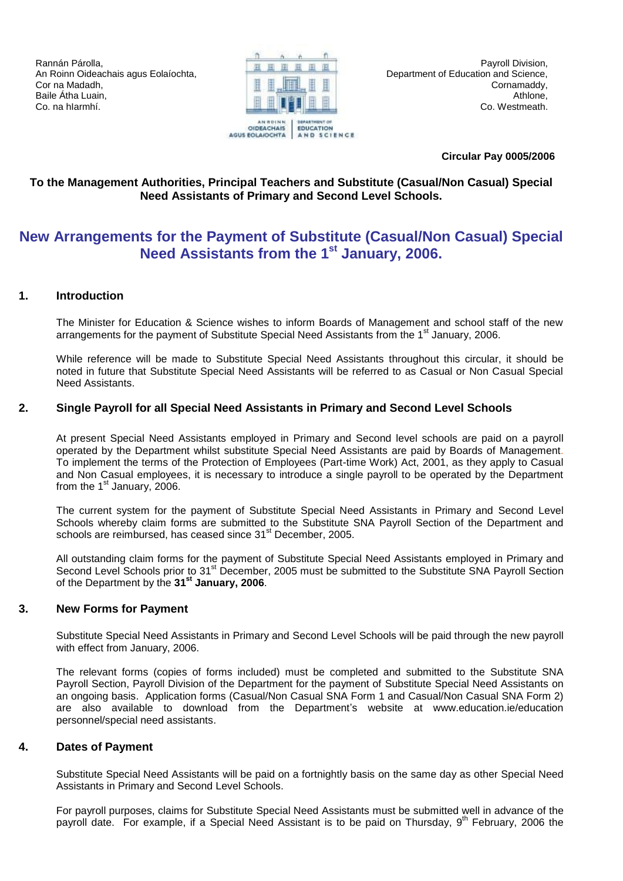Rannán Párolla, An Roinn Oideachais agus Eolaíochta, Cor na Madadh, Baile Átha Luain, Co. na hIarmhí.



**Circular Pay 0005/2006** 

### **To the Management Authorities, Principal Teachers and Substitute (Casual/Non Casual) Special Need Assistants of Primary and Second Level Schools.**

# **New Arrangements for the Payment of Substitute (Casual/Non Casual) Special Need Assistants from the 1st January, 2006.**

### **1. Introduction**

The Minister for Education & Science wishes to inform Boards of Management and school staff of the new arrangements for the payment of Substitute Special Need Assistants from the 1<sup>st</sup> January, 2006.

While reference will be made to Substitute Special Need Assistants throughout this circular, it should be noted in future that Substitute Special Need Assistants will be referred to as Casual or Non Casual Special Need Assistants.

### **2. Single Payroll for all Special Need Assistants in Primary and Second Level Schools**

At present Special Need Assistants employed in Primary and Second level schools are paid on a payroll operated by the Department whilst substitute Special Need Assistants are paid by Boards of Management. To implement the terms of the Protection of Employees (Part-time Work) Act, 2001, as they apply to Casual and Non Casual employees, it is necessary to introduce a single payroll to be operated by the Department from the  $1<sup>st</sup>$  January, 2006.

The current system for the payment of Substitute Special Need Assistants in Primary and Second Level Schools whereby claim forms are submitted to the Substitute SNA Payroll Section of the Department and schools are reimbursed, has ceased since 31<sup>st</sup> December, 2005.

All outstanding claim forms for the payment of Substitute Special Need Assistants employed in Primary and Second Level Schools prior to 31<sup>st</sup> December, 2005 must be submitted to the Substitute SNA Payroll Section of the Department by the **31st January, 2006**.

### **3. New Forms for Payment**

Substitute Special Need Assistants in Primary and Second Level Schools will be paid through the new payroll with effect from January, 2006.

The relevant forms (copies of forms included) must be completed and submitted to the Substitute SNA Payroll Section, Payroll Division of the Department for the payment of Substitute Special Need Assistants on an ongoing basis. Application forms (Casual/Non Casual SNA Form 1 and Casual/Non Casual SNA Form 2) are also available to download from the Department's website at [www.education.ie/education](http://www.education.ie/education) personnel/special need assistants.

## **4. Dates of Payment**

Substitute Special Need Assistants will be paid on a fortnightly basis on the same day as other Special Need Assistants in Primary and Second Level Schools.

For payroll purposes, claims for Substitute Special Need Assistants must be submitted well in advance of the payroll date. For example, if a Special Need Assistant is to be paid on Thursday, 9<sup>th</sup> February, 2006 the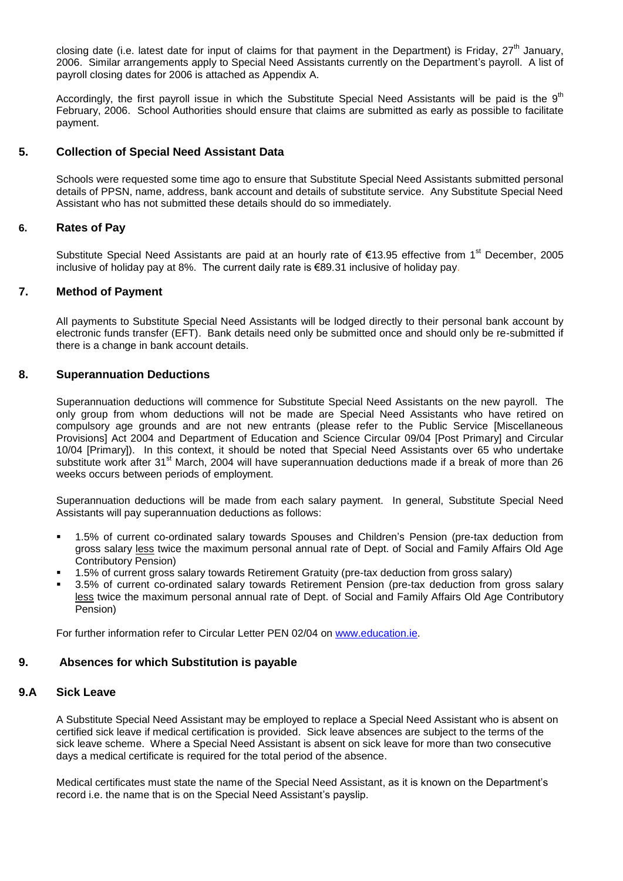closing date (i.e. latest date for input of claims for that payment in the Department) is Friday, 27<sup>th</sup> January, 2006. Similar arrangements apply to Special Need Assistants currently on the Department's payroll. A list of payroll closing dates for 2006 is attached as Appendix A.

Accordingly, the first payroll issue in which the Substitute Special Need Assistants will be paid is the  $9<sup>th</sup>$ February, 2006. School Authorities should ensure that claims are submitted as early as possible to facilitate payment.

#### **5. Collection of Special Need Assistant Data**

Schools were requested some time ago to ensure that Substitute Special Need Assistants submitted personal details of PPSN, name, address, bank account and details of substitute service. Any Substitute Special Need Assistant who has not submitted these details should do so immediately.

#### **6. Rates of Pay**

Substitute Special Need Assistants are paid at an hourly rate of  $\epsilon$ 13.95 effective from 1<sup>st</sup> December, 2005 inclusive of holiday pay at 8%. The current daily rate is €89.31 inclusive of holiday pay.

#### **7. Method of Payment**

All payments to Substitute Special Need Assistants will be lodged directly to their personal bank account by electronic funds transfer (EFT). Bank details need only be submitted once and should only be re-submitted if there is a change in bank account details.

#### **8. Superannuation Deductions**

Superannuation deductions will commence for Substitute Special Need Assistants on the new payroll. The only group from whom deductions will not be made are Special Need Assistants who have retired on compulsory age grounds and are not new entrants (please refer to the Public Service [Miscellaneous Provisions] Act 2004 and Department of Education and Science Circular 09/04 [Post Primary] and Circular 10/04 [Primary]). In this context, it should be noted that Special Need Assistants over 65 who undertake substitute work after 31<sup>st</sup> March, 2004 will have superannuation deductions made if a break of more than 26 weeks occurs between periods of employment.

Superannuation deductions will be made from each salary payment. In general, Substitute Special Need Assistants will pay superannuation deductions as follows:

- 1.5% of current co-ordinated salary towards Spouses and Children's Pension (pre-tax deduction from gross salary less twice the maximum personal annual rate of Dept. of Social and Family Affairs Old Age Contributory Pension)
- 1.5% of current gross salary towards Retirement Gratuity (pre-tax deduction from gross salary)
- 3.5% of current co-ordinated salary towards Retirement Pension (pre-tax deduction from gross salary less twice the maximum personal annual rate of Dept. of Social and Family Affairs Old Age Contributory Pension)

For further information refer to Circular Letter PEN 02/04 on [www.education.ie.](http://www.education.ie/)

## **9. Absences for which Substitution is payable**

## **9.A Sick Leave**

A Substitute Special Need Assistant may be employed to replace a Special Need Assistant who is absent on certified sick leave if medical certification is provided. Sick leave absences are subject to the terms of the sick leave scheme. Where a Special Need Assistant is absent on sick leave for more than two consecutive days a medical certificate is required for the total period of the absence.

Medical certificates must state the name of the Special Need Assistant, as it is known on the Department's record i.e. the name that is on the Special Need Assistant's payslip.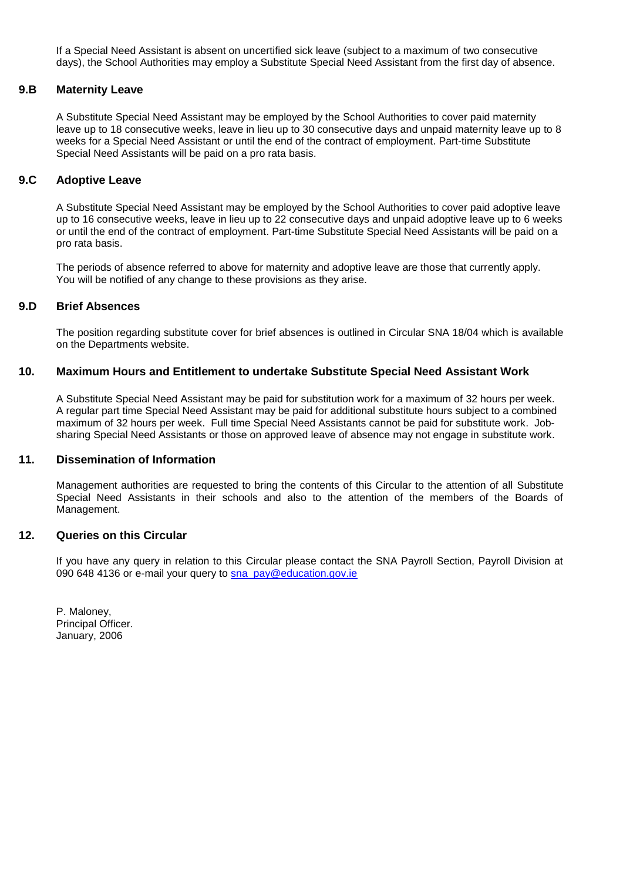If a Special Need Assistant is absent on uncertified sick leave (subject to a maximum of two consecutive days), the School Authorities may employ a Substitute Special Need Assistant from the first day of absence.

#### **9.B Maternity Leave**

A Substitute Special Need Assistant may be employed by the School Authorities to cover paid maternity leave up to 18 consecutive weeks, leave in lieu up to 30 consecutive days and unpaid maternity leave up to 8 weeks for a Special Need Assistant or until the end of the contract of employment. Part-time Substitute Special Need Assistants will be paid on a pro rata basis.

#### **9.C Adoptive Leave**

A Substitute Special Need Assistant may be employed by the School Authorities to cover paid adoptive leave up to 16 consecutive weeks, leave in lieu up to 22 consecutive days and unpaid adoptive leave up to 6 weeks or until the end of the contract of employment. Part-time Substitute Special Need Assistants will be paid on a pro rata basis.

The periods of absence referred to above for maternity and adoptive leave are those that currently apply. You will be notified of any change to these provisions as they arise.

#### **9.D Brief Absences**

The position regarding substitute cover for brief absences is outlined in Circular SNA 18/04 which is available on the Departments website.

#### **10. Maximum Hours and Entitlement to undertake Substitute Special Need Assistant Work**

A Substitute Special Need Assistant may be paid for substitution work for a maximum of 32 hours per week. A regular part time Special Need Assistant may be paid for additional substitute hours subject to a combined maximum of 32 hours per week. Full time Special Need Assistants cannot be paid for substitute work. Jobsharing Special Need Assistants or those on approved leave of absence may not engage in substitute work.

#### **11. Dissemination of Information**

Management authorities are requested to bring the contents of this Circular to the attention of all Substitute Special Need Assistants in their schools and also to the attention of the members of the Boards of Management.

#### **12. Queries on this Circular**

If you have any query in relation to this Circular please contact the SNA Payroll Section, Payroll Division at 090 648 4136 or e-mail your query to [sna\\_pay@education.gov.ie](mailto:sna_pay@education.gov.ie)

P. Maloney, Principal Officer. January, 2006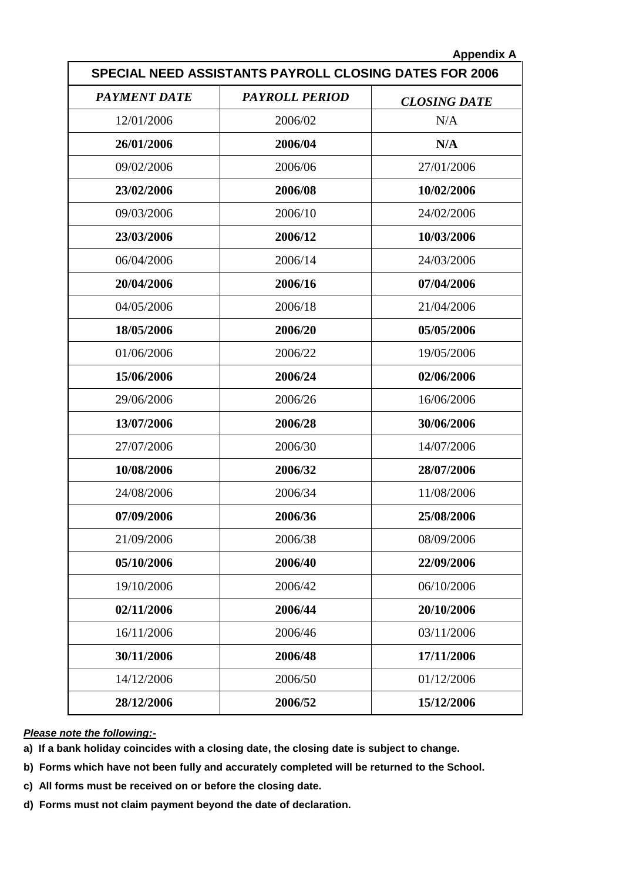**Appendix A**

| SPECIAL NEED ASSISTANTS PAYROLL CLOSING DATES FOR 2006 |                       |                     |  |
|--------------------------------------------------------|-----------------------|---------------------|--|
| <b>PAYMENT DATE</b>                                    | <b>PAYROLL PERIOD</b> | <b>CLOSING DATE</b> |  |
| 12/01/2006                                             | 2006/02               | N/A                 |  |
| 26/01/2006                                             | 2006/04               | N/A                 |  |
| 09/02/2006                                             | 2006/06               | 27/01/2006          |  |
| 23/02/2006                                             | 2006/08               | 10/02/2006          |  |
| 09/03/2006                                             | 2006/10               | 24/02/2006          |  |
| 23/03/2006                                             | 2006/12               | 10/03/2006          |  |
| 06/04/2006                                             | 2006/14               | 24/03/2006          |  |
| 20/04/2006                                             | 2006/16               | 07/04/2006          |  |
| 04/05/2006                                             | 2006/18               | 21/04/2006          |  |
| 18/05/2006                                             | 2006/20               | 05/05/2006          |  |
| 01/06/2006                                             | 2006/22               | 19/05/2006          |  |
| 15/06/2006                                             | 2006/24               | 02/06/2006          |  |
| 29/06/2006                                             | 2006/26               | 16/06/2006          |  |
| 13/07/2006                                             | 2006/28               | 30/06/2006          |  |
| 27/07/2006                                             | 2006/30               | 14/07/2006          |  |
| 10/08/2006                                             | 2006/32               | 28/07/2006          |  |
| 24/08/2006                                             | 2006/34               | 11/08/2006          |  |
| 07/09/2006                                             | 2006/36               | 25/08/2006          |  |
| 21/09/2006                                             | 2006/38               | 08/09/2006          |  |
| 05/10/2006                                             | 2006/40               | 22/09/2006          |  |
| 19/10/2006                                             | 2006/42               | 06/10/2006          |  |
| 02/11/2006                                             | 2006/44               | 20/10/2006          |  |
| 16/11/2006                                             | 2006/46               | 03/11/2006          |  |
| 30/11/2006                                             | 2006/48               | 17/11/2006          |  |
| 14/12/2006                                             | 2006/50               | 01/12/2006          |  |
| 28/12/2006                                             | 2006/52               | 15/12/2006          |  |

#### *Please note the following:-*

**a) If a bank holiday coincides with a closing date, the closing date is subject to change.**

**b) Forms which have not been fully and accurately completed will be returned to the School.**

- **c) All forms must be received on or before the closing date.**
- **d) Forms must not claim payment beyond the date of declaration.**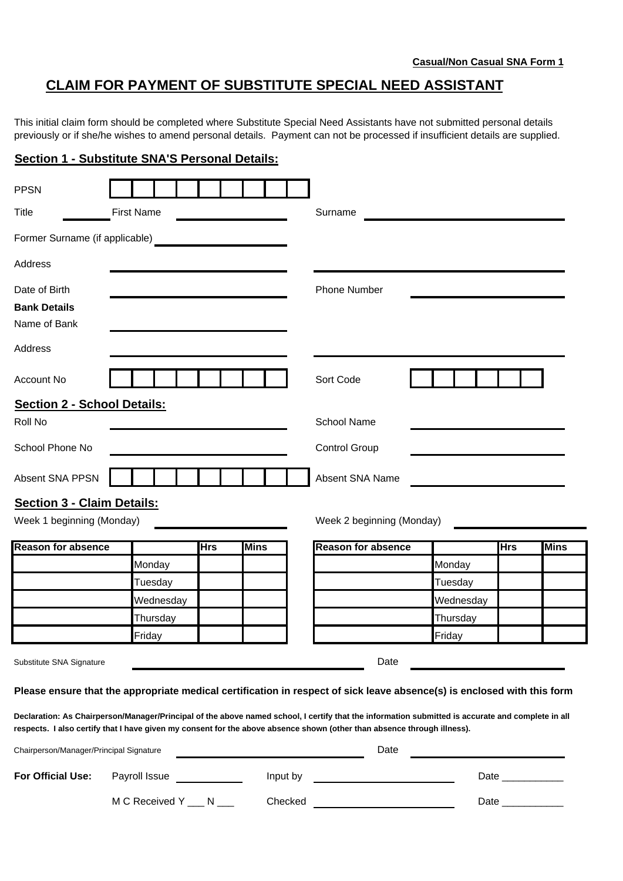# **CLAIM FOR PAYMENT OF SUBSTITUTE SPECIAL NEED ASSISTANT**

This initial claim form should be completed where Substitute Special Need Assistants have not submitted personal details previously or if she/he wishes to amend personal details. Payment can not be processed if insufficient details are supplied.

### **Section 1 - Substitute SNA'S Personal Details:**

| <b>PPSN</b>                                                    |                   |     |                      |                                                                                                                                                                                                                                                                              |           |                  |             |
|----------------------------------------------------------------|-------------------|-----|----------------------|------------------------------------------------------------------------------------------------------------------------------------------------------------------------------------------------------------------------------------------------------------------------------|-----------|------------------|-------------|
| Title                                                          | <b>First Name</b> |     | Surname              |                                                                                                                                                                                                                                                                              |           |                  |             |
| Former Surname (if applicable)                                 |                   |     |                      |                                                                                                                                                                                                                                                                              |           |                  |             |
| Address                                                        |                   |     |                      |                                                                                                                                                                                                                                                                              |           |                  |             |
| Date of Birth<br><b>Bank Details</b><br>Name of Bank           |                   |     |                      | <b>Phone Number</b>                                                                                                                                                                                                                                                          |           |                  |             |
| Address                                                        |                   |     |                      |                                                                                                                                                                                                                                                                              |           |                  |             |
| <b>Account No</b>                                              |                   |     |                      | Sort Code                                                                                                                                                                                                                                                                    |           |                  |             |
| <b>Section 2 - School Details:</b><br>Roll No                  |                   |     |                      | <b>School Name</b>                                                                                                                                                                                                                                                           |           |                  |             |
| School Phone No                                                |                   |     | <b>Control Group</b> |                                                                                                                                                                                                                                                                              |           |                  |             |
| Absent SNA PPSN                                                |                   |     |                      | Absent SNA Name                                                                                                                                                                                                                                                              |           |                  |             |
|                                                                |                   |     |                      |                                                                                                                                                                                                                                                                              |           |                  |             |
| <b>Section 3 - Claim Details:</b><br>Week 1 beginning (Monday) |                   |     |                      | Week 2 beginning (Monday)                                                                                                                                                                                                                                                    |           |                  |             |
| <b>Reason for absence</b>                                      |                   | Hrs | <b>Mins</b>          | <b>Reason for absence</b>                                                                                                                                                                                                                                                    |           | <b>Hrs</b>       | <b>Mins</b> |
|                                                                | Monday            |     |                      |                                                                                                                                                                                                                                                                              | Monday    |                  |             |
|                                                                | Tuesday           |     |                      |                                                                                                                                                                                                                                                                              | Tuesday   |                  |             |
|                                                                | Wednesday         |     |                      |                                                                                                                                                                                                                                                                              | Wednesday |                  |             |
|                                                                | Thursday          |     |                      |                                                                                                                                                                                                                                                                              | Thursday  |                  |             |
|                                                                | Friday            |     |                      |                                                                                                                                                                                                                                                                              | Friday    |                  |             |
| Substitute SNA Signature                                       |                   |     |                      | Date                                                                                                                                                                                                                                                                         |           |                  |             |
|                                                                |                   |     |                      | Please ensure that the appropriate medical certification in respect of sick leave absence(s) is enclosed with this form                                                                                                                                                      |           |                  |             |
|                                                                |                   |     |                      | Declaration: As Chairperson/Manager/Principal of the above named school, I certify that the information submitted is accurate and complete in all<br>respects. I also certify that I have given my consent for the above absence shown (other than absence through illness). |           |                  |             |
| Chairperson/Manager/Principal Signature                        |                   |     |                      | Date                                                                                                                                                                                                                                                                         |           |                  |             |
| For Official Use:                                              | Payroll Issue     |     | Input by             |                                                                                                                                                                                                                                                                              |           | Date <b>Date</b> |             |